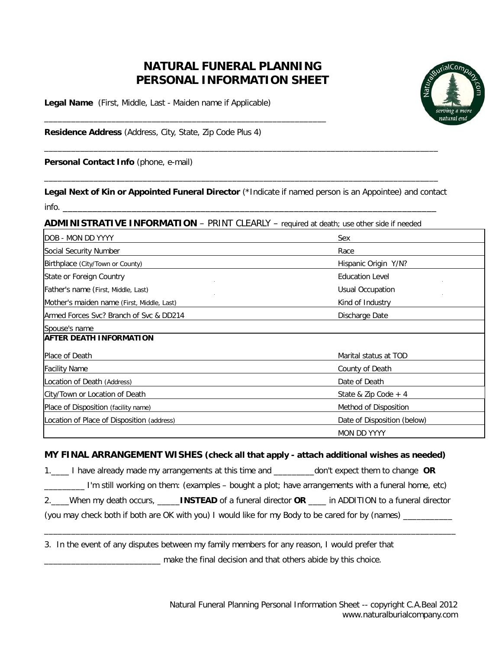# **NATURAL FUNERAL PLANNING PERSONAL INFORMATION SHEET**

**Legal Name** (First, Middle, Last - Maiden name if Applicable)

\_\_\_\_\_\_\_\_\_\_\_\_\_\_\_\_\_\_\_\_\_\_\_\_\_\_\_\_\_\_\_\_\_\_\_\_\_\_\_\_\_\_\_\_\_\_\_\_\_\_\_\_\_\_\_\_\_\_\_\_\_\_\_



**Residence Address** (Address, City, State, Zip Code Plus 4)

**Personal Contact Info** (phone, e-mail)

**Legal Next of Kin or Appointed Funeral Director** (\*Indicate if named person is an Appointee) and contact  $info.$ 

\_\_\_\_\_\_\_\_\_\_\_\_\_\_\_\_\_\_\_\_\_\_\_\_\_\_\_\_\_\_\_\_\_\_\_\_\_\_\_\_\_\_\_\_\_\_\_\_\_\_\_\_\_\_\_\_\_\_\_\_\_\_\_\_\_\_\_\_\_\_\_\_\_\_\_\_\_\_\_\_\_\_\_\_\_\_\_\_

\_\_\_\_\_\_\_\_\_\_\_\_\_\_\_\_\_\_\_\_\_\_\_\_\_\_\_\_\_\_\_\_\_\_\_\_\_\_\_\_\_\_\_\_\_\_\_\_\_\_\_\_\_\_\_\_\_\_\_\_\_\_\_\_\_\_\_\_\_\_\_\_\_\_\_\_\_\_\_\_\_\_\_\_\_\_\_\_

**ADMINISTRATIVE INFORMATION** – PRINT CLEARLY – required at death; use other side if needed

| DOB - MON DD YYYY                          | Sex                         |
|--------------------------------------------|-----------------------------|
| Social Security Number                     | Race                        |
| Birthplace (City/Town or County)           | Hispanic Origin Y/N?        |
| State or Foreign Country                   | <b>Education Level</b>      |
| Father's name (First, Middle, Last)        | <b>Usual Occupation</b>     |
| Mother's maiden name (First, Middle, Last) | Kind of Industry            |
| Armed Forces Svc? Branch of Svc & DD214    | Discharge Date              |
| Spouse's name                              |                             |
| <b>AFTER DEATH INFORMATION</b>             |                             |
| Place of Death                             | Marital status at TOD       |
| <b>Facility Name</b>                       | County of Death             |
| Location of Death (Address)                | Date of Death               |
| City/Town or Location of Death             | State & Zip Code $+4$       |
| Place of Disposition (facility name)       | Method of Disposition       |
| Location of Place of Disposition (address) | Date of Disposition (below) |
|                                            | <b>MON DD YYYY</b>          |

### **MY FINAL ARRANGEMENT WISHES (check all that apply - attach additional wishes as needed)**

1.\_\_\_\_ I have already made my arrangements at this time and \_\_\_\_\_\_\_\_\_don't expect them to change **OR**

\_\_\_\_\_\_\_\_\_ I'm still working on them: (examples – bought a plot; have arrangements with a funeral home, etc)

2.\_\_\_\_When my death occurs, \_\_\_\_\_**INSTEAD** of a funeral director **OR** \_\_\_\_ in ADDITION to a funeral director

\_\_\_\_\_\_\_\_\_\_\_\_\_\_\_\_\_\_\_\_\_\_\_\_\_\_\_\_\_\_\_\_\_\_\_\_\_\_\_\_\_\_\_\_\_\_\_\_\_\_\_\_\_\_\_\_\_\_\_\_\_\_\_\_\_\_\_\_\_\_\_\_\_\_\_\_\_\_\_\_\_\_\_\_\_\_\_\_\_\_\_\_

(you may check both if both are OK with you) I would like for my Body to be cared for by (names) \_\_\_\_\_\_\_\_\_\_\_

3. In the event of any disputes between my family members for any reason, I would prefer that \_\_\_\_\_\_\_\_\_\_\_\_\_\_\_\_\_\_\_\_\_\_\_\_\_\_ make the final decision and that others abide by this choice.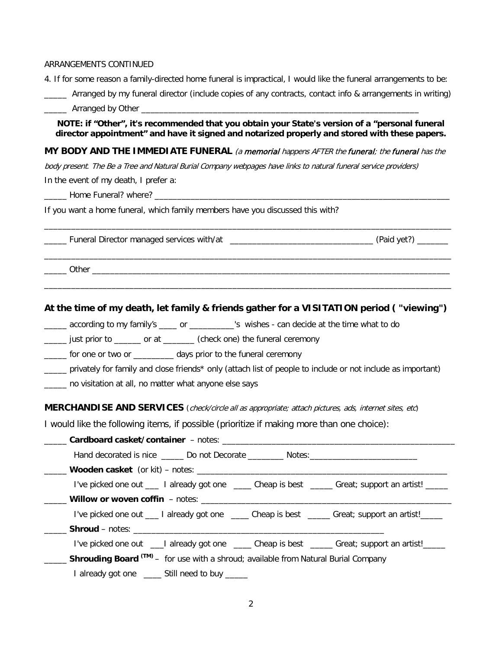#### ARRANGEMENTS CONTINUED

4. If for some reason a family-directed home funeral is impractical, I would like the funeral arrangements to be:

Arranged by my funeral director (include copies of any contracts, contact info & arrangements in writing)

\_\_\_\_\_ Arranged by Other \_\_\_\_\_\_\_\_\_\_\_\_\_\_\_\_\_\_\_\_\_\_\_\_\_\_\_\_\_\_\_\_\_\_\_\_\_\_\_\_\_\_\_\_\_\_\_\_\_\_\_\_\_\_\_\_\_\_\_\_\_\_

### **NOTE: if "Other", it's recommended that you obtain your State's version of a "personal funeral director appointment" and have it signed and notarized properly and stored with these papers.**

#### **MY BODY AND THE IMMEDIATE FUNERAL** (a memorial happens AFTER the funeral; the funeral has the

\_\_\_\_\_\_\_\_\_\_\_\_\_\_\_\_\_\_\_\_\_\_\_\_\_\_\_\_\_\_\_\_\_\_\_\_\_\_\_\_\_\_\_\_\_\_\_\_\_\_\_\_\_\_\_\_\_\_\_\_\_\_\_\_\_\_\_\_\_\_\_\_\_\_\_\_\_\_\_\_\_\_\_\_\_\_\_\_\_\_\_

\_\_\_\_\_\_\_\_\_\_\_\_\_\_\_\_\_\_\_\_\_\_\_\_\_\_\_\_\_\_\_\_\_\_\_\_\_\_\_\_\_\_\_\_\_\_\_\_\_\_\_\_\_\_\_\_\_\_\_\_\_\_\_\_\_\_\_\_\_\_\_\_\_\_\_\_\_\_\_\_\_\_\_\_\_\_\_\_\_\_\_

\_\_\_\_\_\_\_\_\_\_\_\_\_\_\_\_\_\_\_\_\_\_\_\_\_\_\_\_\_\_\_\_\_\_\_\_\_\_\_\_\_\_\_\_\_\_\_\_\_\_\_\_\_\_\_\_\_\_\_\_\_\_\_\_\_\_\_\_\_\_\_\_\_\_\_\_\_\_\_\_\_\_\_\_\_\_\_\_\_\_\_

body present. The Be a Tree and Natural Burial Company webpages have links to natural funeral service providers) In the event of my death, I prefer a:

\_\_\_\_\_ Home Funeral? where? \_\_\_\_\_\_\_\_\_\_\_\_\_\_\_\_\_\_\_\_\_\_\_\_\_\_\_\_\_\_\_\_\_\_\_\_\_\_\_\_\_\_\_\_\_\_\_\_\_\_\_\_\_\_\_\_\_\_\_\_\_\_\_\_\_\_

If you want a home funeral, which family members have you discussed this with?

\_\_\_\_\_ Funeral Director managed services with/at \_\_\_\_\_\_\_\_\_\_\_\_\_\_\_\_\_\_\_\_\_\_\_\_\_\_\_\_\_\_\_\_ (Paid yet?) \_\_\_\_\_\_\_

\_\_\_\_\_ Other \_\_\_\_\_\_\_\_\_\_\_\_\_\_\_\_\_\_\_\_\_\_\_\_\_\_\_\_\_\_\_\_\_\_\_\_\_\_\_\_\_\_\_\_\_\_\_\_\_\_\_\_\_\_\_\_\_\_\_\_\_\_\_\_\_\_\_\_\_\_\_\_\_\_\_\_\_\_\_\_

### **At the time of my death, let family & friends gather for a VISITATION period ( "viewing")**

\_\_\_\_\_ according to my family's \_\_\_\_ or \_\_\_\_\_\_\_\_\_\_'s wishes - can decide at the time what to do

just prior to do come at the check one) the funeral ceremony

\_\_\_\_\_ for one or two or \_\_\_\_\_\_\_\_\_ days prior to the funeral ceremony

\_\_\_\_\_ privately for family and close friends\* only (attach list of people to include or not include as important)

\_\_\_\_\_ no visitation at all, no matter what anyone else says

#### **MERCHANDISE AND SERVICES** (check/circle all as appropriate; attach pictures, ads, internet sites, etc)

I would like the following items, if possible (prioritize if making more than one choice):

\_\_\_\_\_ **Cardboard casket/container** – notes: \_\_\_\_\_\_\_\_\_\_\_\_\_\_\_\_\_\_\_\_\_\_\_\_\_\_\_\_\_\_\_\_\_\_\_\_\_\_\_\_\_\_\_\_\_\_\_\_\_\_\_\_ Hand decorated is nice \_\_\_\_\_\_ Do not Decorate \_\_\_\_\_\_\_\_ Notes:\_\_\_\_\_\_\_\_\_\_\_\_\_\_\_\_\_\_\_ \_\_\_\_\_ **Wooden casket** (or kit) – notes: \_\_\_\_\_\_\_\_\_\_\_\_\_\_\_\_\_\_\_\_\_\_\_\_\_\_\_\_\_\_\_\_\_\_\_\_\_\_\_\_\_\_\_\_\_\_\_\_\_\_\_\_\_\_\_\_ I've picked one out \_\_\_\_ I already got one \_\_\_\_\_ Cheap is best \_\_\_\_\_ Great; support an artist! **Willow or woven coffin** - notes: I've picked one out \_\_\_ I already got one \_\_\_\_ Cheap is best \_\_\_\_ Great; support an artist!\_\_\_\_ \_\_\_\_\_ **Shroud** – notes: \_\_\_\_\_\_\_\_\_\_\_\_\_\_\_\_\_\_\_\_\_\_\_\_\_\_\_\_\_\_\_\_\_\_\_\_\_\_\_\_\_\_\_\_\_\_\_\_\_\_\_\_\_\_\_\_ I've picked one out \_\_\_I already got one \_\_\_\_ Cheap is best \_\_\_\_\_ Great; support an artist!\_\_\_\_ \_\_\_\_\_ **Shrouding Board (TM)** – for use with a shroud; available from Natural Burial Company I already got one \_\_\_\_ Still need to buy \_\_\_\_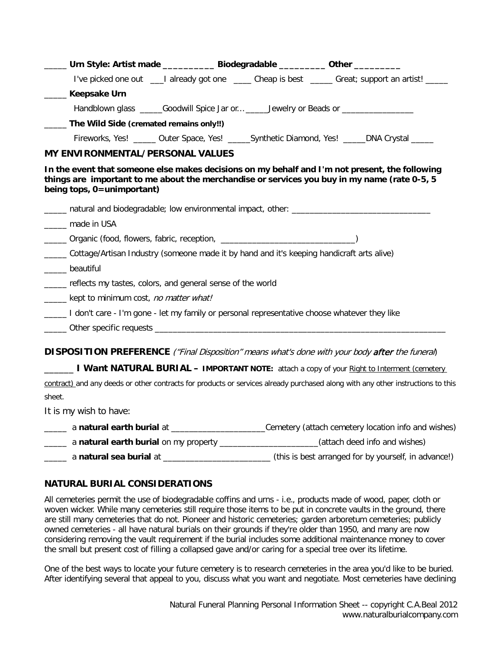| ____ Urn Style: Artist made ___________ Biodegradable _________ Other _________                                                                                                                                              |  |                                                                                                            |
|------------------------------------------------------------------------------------------------------------------------------------------------------------------------------------------------------------------------------|--|------------------------------------------------------------------------------------------------------------|
|                                                                                                                                                                                                                              |  | I've picked one out ___I already got one _____ Cheap is best _____ Great; support an artist! ____          |
| Keepsake Urn<br>$\mathcal{L}^{\text{max}}$                                                                                                                                                                                   |  |                                                                                                            |
| Handblown glass ______Goodwill Spice Jar or ______Jewelry or Beads or ______________                                                                                                                                         |  |                                                                                                            |
| ____ The Wild Side (cremated remains only!!)                                                                                                                                                                                 |  |                                                                                                            |
|                                                                                                                                                                                                                              |  | Fireworks, Yes! _____ Outer Space, Yes! ______Synthetic Diamond, Yes! _____DNA Crystal _____               |
| MY ENVIRONMENTAL/PERSONAL VALUES                                                                                                                                                                                             |  |                                                                                                            |
| In the event that someone else makes decisions on my behalf and I'm not present, the following<br>things are important to me about the merchandise or services you buy in my name (rate 0-5, 5<br>being tops, 0=unimportant) |  |                                                                                                            |
| natural and biodegradable; low environmental impact, other: _____________________                                                                                                                                            |  |                                                                                                            |
| _____ made in USA                                                                                                                                                                                                            |  |                                                                                                            |
|                                                                                                                                                                                                                              |  |                                                                                                            |
| Cottage/Artisan Industry (someone made it by hand and it's keeping handicraft arts alive)<br>______ beautiful                                                                                                                |  |                                                                                                            |
| reflects my tastes, colors, and general sense of the world                                                                                                                                                                   |  |                                                                                                            |
| _____ kept to minimum cost, no matter what!                                                                                                                                                                                  |  |                                                                                                            |
| I don't care - I'm gone - let my family or personal representative choose whatever they like                                                                                                                                 |  |                                                                                                            |
|                                                                                                                                                                                                                              |  |                                                                                                            |
| DISPOSITION PREFERENCE ("Final Disposition" means what's done with your body after the funeral)                                                                                                                              |  |                                                                                                            |
| <b>I Want NATURAL BURIAL – IMPORTANT NOTE:</b> attach a copy of your Right to Interment (cemetery                                                                                                                            |  |                                                                                                            |
| contract) and any deeds or other contracts for products or services already purchased along with any other instructions to this                                                                                              |  |                                                                                                            |
| sheet.                                                                                                                                                                                                                       |  |                                                                                                            |
| It is my wish to have:                                                                                                                                                                                                       |  |                                                                                                            |
|                                                                                                                                                                                                                              |  | a natural earth burial at _____________________________Cemetery (attach cemetery location info and wishes) |

\_\_\_\_\_ a **natural earth burial** on my property \_\_\_\_\_\_\_\_\_\_\_\_\_\_\_\_\_\_\_\_\_\_(attach deed info and wishes)

\_\_\_\_\_ a **natural sea burial** at \_\_\_\_\_\_\_\_\_\_\_\_\_\_\_\_\_\_\_\_\_\_\_\_ (this is best arranged for by yourself, in advance!)

# **NATURAL BURIAL CONSIDERATIONS**

All cemeteries permit the use of biodegradable coffins and urns - i.e., products made of wood, paper, cloth or woven wicker. While many cemeteries still require those items to be put in concrete vaults in the ground, there are still many cemeteries that do not. Pioneer and historic cemeteries; garden arboretum cemeteries; publicly owned cemeteries - all have natural burials on their grounds if they're older than 1950, and many are now considering removing the vault requirement if the burial includes some additional maintenance money to cover the small but present cost of filling a collapsed gave and/or caring for a special tree over its lifetime.

One of the best ways to locate your future cemetery is to research cemeteries in the area you'd like to be buried. After identifying several that appeal to you, discuss what you want and negotiate. Most cemeteries have declining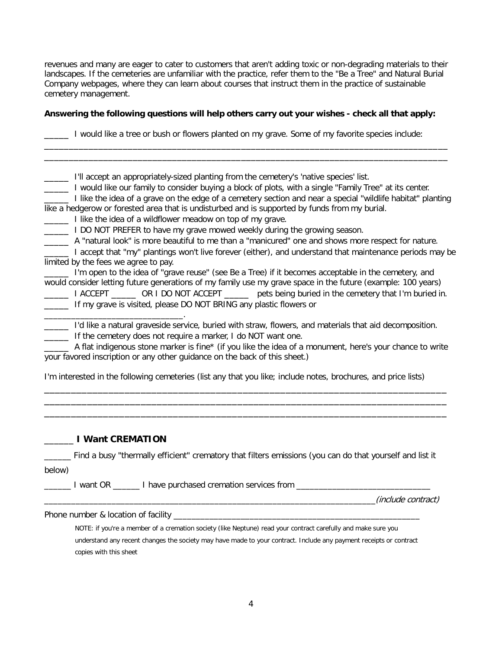revenues and many are eager to cater to customers that aren't adding toxic or non-degrading materials to their landscapes. If the cemeteries are unfamiliar with the practice, refer them to the "Be a Tree" and Natural Burial Company webpages, where they can learn about courses that instruct them in the practice of sustainable cemetery management.

### **Answering the following questions will help others carry out your wishes - check all that apply:**

\_\_\_\_\_ I would like a tree or bush or flowers planted on my grave. Some of my favorite species include:

\_\_\_\_\_\_\_\_\_\_\_\_\_\_\_\_\_\_\_\_\_\_\_\_\_\_\_\_\_\_\_\_\_\_\_\_\_\_\_\_\_\_\_\_\_\_\_\_\_\_\_\_\_\_\_\_\_\_\_\_\_\_\_\_\_\_\_\_\_\_\_\_\_\_\_\_\_\_\_\_\_\_

| I'll accept an appropriately-sized planting from the cemetery's 'native species' list.<br>I would like our family to consider buying a block of plots, with a single "Family Tree" at its center.<br>I like the idea of a grave on the edge of a cemetery section and near a special "wildlife habitat" planting           |
|----------------------------------------------------------------------------------------------------------------------------------------------------------------------------------------------------------------------------------------------------------------------------------------------------------------------------|
| like a hedgerow or forested area that is undisturbed and is supported by funds from my burial.                                                                                                                                                                                                                             |
| I like the idea of a wildflower meadow on top of my grave.                                                                                                                                                                                                                                                                 |
| I DO NOT PREFER to have my grave mowed weekly during the growing season.                                                                                                                                                                                                                                                   |
| A "natural look" is more beautiful to me than a "manicured" one and shows more respect for nature.                                                                                                                                                                                                                         |
| I accept that "my" plantings won't live forever (either), and understand that maintenance periods may be                                                                                                                                                                                                                   |
| limited by the fees we agree to pay.                                                                                                                                                                                                                                                                                       |
| I'm open to the idea of "grave reuse" (see Be a Tree) if it becomes acceptable in the cemetery, and<br>would consider letting future generations of my family use my grave space in the future (example: 100 years)<br>I ACCEPT ________ OR I DO NOT ACCEPT ________ pets being buried in the cemetery that I'm buried in. |
| If my grave is visited, please DO NOT BRING any plastic flowers or                                                                                                                                                                                                                                                         |
|                                                                                                                                                                                                                                                                                                                            |
| I'd like a natural graveside service, buried with straw, flowers, and materials that aid decomposition.                                                                                                                                                                                                                    |
| If the cemetery does not require a marker, I do NOT want one.                                                                                                                                                                                                                                                              |
| A flat indigenous stone marker is fine* (if you like the idea of a monument, here's your chance to write                                                                                                                                                                                                                   |
| your favored inscription or any other guidance on the back of this sheet.)                                                                                                                                                                                                                                                 |

I'm interested in the following cemeteries (list any that you like; include notes, brochures, and price lists)

\_\_\_\_\_\_\_\_\_\_\_\_\_\_\_\_\_\_\_\_\_\_\_\_\_\_\_\_\_\_\_\_\_\_\_\_\_\_\_\_\_\_\_\_\_\_\_\_\_\_\_\_\_\_\_\_\_\_\_\_\_\_\_\_\_\_\_\_\_\_\_\_\_\_\_ \_\_\_\_\_\_\_\_\_\_\_\_\_\_\_\_\_\_\_\_\_\_\_\_\_\_\_\_\_\_\_\_\_\_\_\_\_\_\_\_\_\_\_\_\_\_\_\_\_\_\_\_\_\_\_\_\_\_\_\_\_\_\_\_\_\_\_\_\_\_\_\_\_\_\_ \_\_\_\_\_\_\_\_\_\_\_\_\_\_\_\_\_\_\_\_\_\_\_\_\_\_\_\_\_\_\_\_\_\_\_\_\_\_\_\_\_\_\_\_\_\_\_\_\_\_\_\_\_\_\_\_\_\_\_\_\_\_\_\_\_\_\_\_\_\_\_\_\_\_\_

### \_\_\_\_\_\_ **I Want CREMATION**

\_\_\_\_\_\_ Find a busy "thermally efficient" crematory that filters emissions (you can do that yourself and list it

| below) |
|--------|
|        |

\_\_\_\_\_\_\_ I want OR \_\_\_\_\_\_ I have purchased cremation services from \_\_\_\_\_\_\_\_\_\_\_\_\_\_\_\_\_\_\_\_\_

\_\_\_\_\_\_\_\_\_\_\_\_\_\_\_\_\_\_\_\_\_\_\_\_\_\_\_\_\_\_\_\_\_\_\_\_\_\_\_\_\_\_\_\_\_\_\_\_\_\_\_\_\_\_\_\_\_\_\_\_\_\_\_\_\_\_\_\_\_\_\_\_\_\_(include contract)

Phone number & location of facility \_\_\_\_\_\_\_\_\_\_\_\_\_\_\_\_\_\_\_\_\_\_\_\_\_\_\_\_\_\_\_\_\_\_\_\_\_\_\_\_\_\_\_\_\_\_\_\_\_\_\_\_\_\_\_

NOTE: if you're a member of a cremation society (like Neptune) read your contract carefully and make sure you understand any recent changes the society may have made to your contract. Include any payment receipts or contract copies with this sheet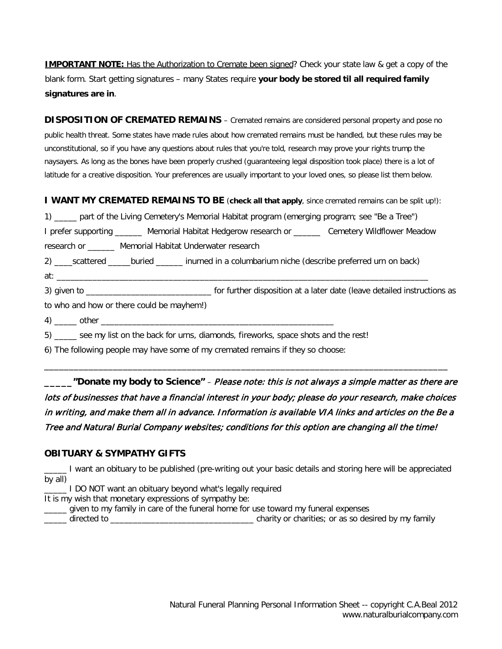**IMPORTANT NOTE:** Has the Authorization to Cremate been signed? Check your state law & get a copy of the blank form. Start getting signatures – many States require **your body be stored til all required family signatures are in**.

**DISPOSITION OF CREMATED REMAINS** – Cremated remains are considered personal property and pose no public health threat. Some states have made rules about how cremated remains must be handled, but these rules may be unconstitutional, so if you have any questions about rules that you're told, research may prove your rights trump the naysayers. As long as the bones have been properly crushed (guaranteeing legal disposition took place) there is a lot of latitude for a creative disposition. Your preferences are usually important to your loved ones, so please list them below.

**I WANT MY CREMATED REMAINS TO BE** (**check all that apply**, since cremated remains can be split up!):

1) \_\_\_\_\_ part of the Living Cemetery's Memorial Habitat program (emerging program; see "Be a Tree")

I prefer supporting \_\_\_\_\_\_ Memorial Habitat Hedgerow research or \_\_\_\_\_\_ Cemetery Wildflower Meadow research or \_\_\_\_\_\_ Memorial Habitat Underwater research

2) \_\_\_\_scattered \_\_\_\_\_buried \_\_\_\_\_\_ inurned in a columbarium niche (describe preferred urn on back)

at: \_\_\_\_\_\_\_\_\_\_\_\_\_\_\_\_\_\_\_\_\_\_\_\_\_\_\_\_\_\_\_\_\_\_\_\_\_\_\_\_\_\_\_\_\_\_\_\_\_\_\_\_\_\_\_\_\_\_\_\_\_\_\_\_\_\_\_\_\_\_\_\_\_\_\_\_\_\_\_\_\_\_\_

3) given to \_\_\_\_\_\_\_\_\_\_\_\_\_\_\_\_\_\_\_\_\_\_\_\_\_\_\_\_ for further disposition at a later date (leave detailed instructions as

to who and how or there could be mayhem!)

4) \_\_\_\_\_ other \_\_\_\_\_\_\_\_\_\_\_\_\_\_\_\_\_\_\_\_\_\_\_\_\_\_\_\_\_\_\_\_\_\_\_\_\_\_\_\_\_\_\_\_\_\_\_\_\_\_\_\_

5) \_\_\_\_\_ see my list on the back for urns, diamonds, fireworks, space shots and the rest!

6) The following people may have some of my cremated remains if they so choose:

**\_\_\_\_\_"Donate my body to Science"** – Please note: this is not always a simple matter as there are lots of businesses that have a financial interest in your body; please do your research, make choices in writing, and make them all in advance. Information is available VIA links and articles on the Be a Tree and Natural Burial Company websites; conditions for this option are changing all the time!

\_\_\_\_\_\_\_\_\_\_\_\_\_\_\_\_\_\_\_\_\_\_\_\_\_\_\_\_\_\_\_\_\_\_\_\_\_\_\_\_\_\_\_\_\_\_\_\_\_\_\_\_\_\_\_\_\_\_\_\_\_\_\_\_\_\_\_\_\_\_\_\_\_\_\_\_\_\_\_\_\_\_

# **OBITUARY & SYMPATHY GIFTS**

\_\_\_\_\_ I want an obituary to be published (pre-writing out your basic details and storing here will be appreciated by all)

\_\_\_\_\_ I DO NOT want an obituary beyond what's legally required

It is my wish that monetary expressions of sympathy be:

\_\_\_\_\_ given to my family in care of the funeral home for use toward my funeral expenses

\_\_\_\_\_ directed to \_\_\_\_\_\_\_\_\_\_\_\_\_\_\_\_\_\_\_\_\_\_\_\_\_\_\_\_\_\_\_\_ charity or charities; or as so desired by my family